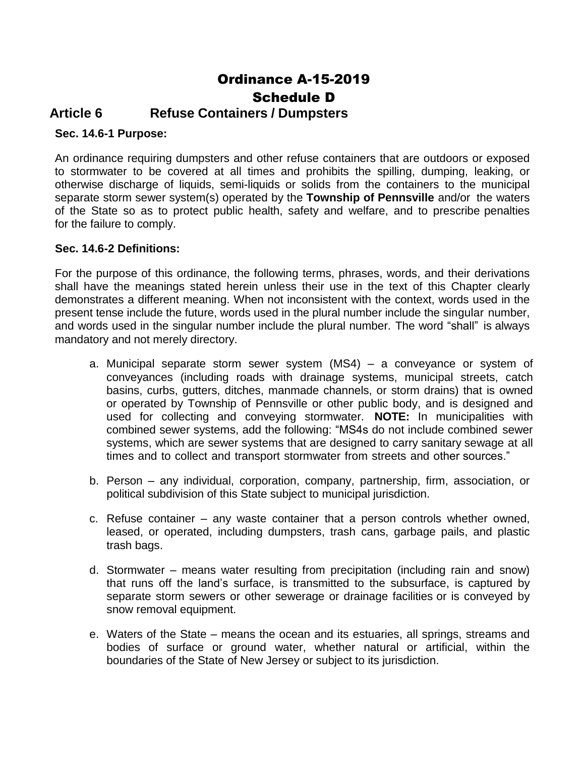# Ordinance A-15-2019 Schedule D

# **Article 6 Refuse Containers / Dumpsters**

# **Sec. 14.6-1 Purpose:**

An ordinance requiring dumpsters and other refuse containers that are outdoors or exposed to stormwater to be covered at all times and prohibits the spilling, dumping, leaking, or otherwise discharge of liquids, semi-liquids or solids from the containers to the municipal separate storm sewer system(s) operated by the **Township of Pennsville** and/or the waters of the State so as to protect public health, safety and welfare, and to prescribe penalties for the failure to comply.

#### **Sec. 14.6-2 Definitions:**

For the purpose of this ordinance, the following terms, phrases, words, and their derivations shall have the meanings stated herein unless their use in the text of this Chapter clearly demonstrates a different meaning. When not inconsistent with the context, words used in the present tense include the future, words used in the plural number include the singular number, and words used in the singular number include the plural number. The word "shall" is always mandatory and not merely directory.

- a. Municipal separate storm sewer system (MS4) a conveyance or system of conveyances (including roads with drainage systems, municipal streets, catch basins, curbs, gutters, ditches, manmade channels, or storm drains) that is owned or operated by Township of Pennsville or other public body, and is designed and used for collecting and conveying stormwater. **NOTE:** In municipalities with combined sewer systems, add the following: "MS4s do not include combined sewer systems, which are sewer systems that are designed to carry sanitary sewage at all times and to collect and transport stormwater from streets and other sources."
- b. Person any individual, corporation, company, partnership, firm, association, or political subdivision of this State subject to municipal jurisdiction.
- c. Refuse container any waste container that a person controls whether owned, leased, or operated, including dumpsters, trash cans, garbage pails, and plastic trash bags.
- d. Stormwater means water resulting from precipitation (including rain and snow) that runs off the land's surface, is transmitted to the subsurface, is captured by separate storm sewers or other sewerage or drainage facilities or is conveyed by snow removal equipment.
- e. Waters of the State means the ocean and its estuaries, all springs, streams and bodies of surface or ground water, whether natural or artificial, within the boundaries of the State of New Jersey or subject to its jurisdiction.